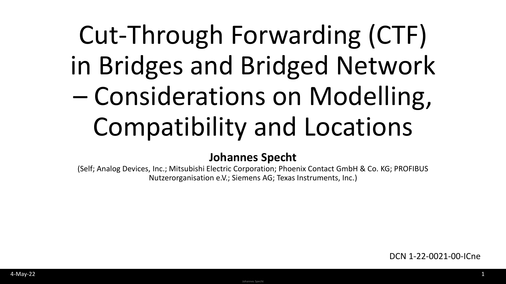# Cut-Through Forwarding (CTF) in Bridges and Bridged Network – Considerations on Modelling, Compatibility and Locations

#### **Johannes Specht**

(Self; Analog Devices, Inc.; Mitsubishi Electric Corporation; Phoenix Contact GmbH & Co. KG; PROFIBUS Nutzerorganisation e.V.; Siemens AG; Texas Instruments, Inc.)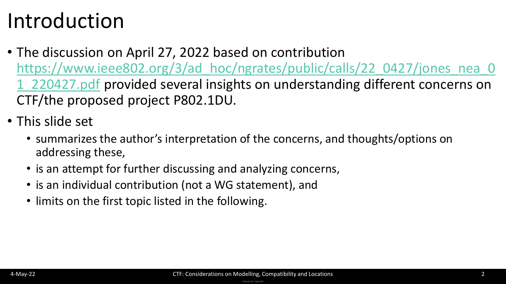### Introduction

- The discussion on April 27, 2022 based on contribution https://www.ieee802.org/3/ad hoc/ngrates/public/calls/22\_0427/jones\_nea\_0 1\_220427.pdf provided several insights on understanding different concerns on CTF/the proposed project P802.1DU.
- This slide set
	- summarizes the author's interpretation of the concerns, and thoughts/options on addressing these,
	- is an attempt for further discussing and analyzing concerns,
	- is an individual contribution (not a WG statement), and
	- limits on the first topic listed in the following.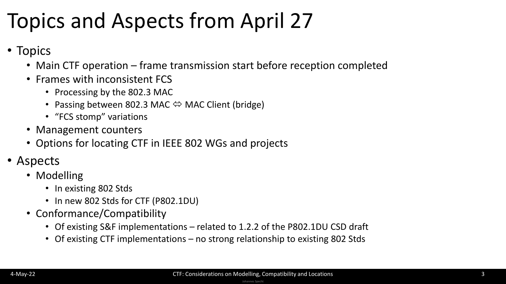### Topics and Aspects from April 27

- Topics
	- Main CTF operation frame transmission start before reception completed
	- Frames with inconsistent FCS
		- Processing by the 802.3 MAC
		- Passing between 802.3 MAC  $\Leftrightarrow$  MAC Client (bridge)
		- "FCS stomp" variations
	- Management counters
	- Options for locating CTF in IEEE 802 WGs and projects
- Aspects
	- Modelling
		- In existing 802 Stds
		- In new 802 Stds for CTF (P802.1DU)
	- Conformance/Compatibility
		- Of existing S&F implementations related to 1.2.2 of the P802.1DU CSD draft
		- Of existing CTF implementations no strong relationship to existing 802 Stds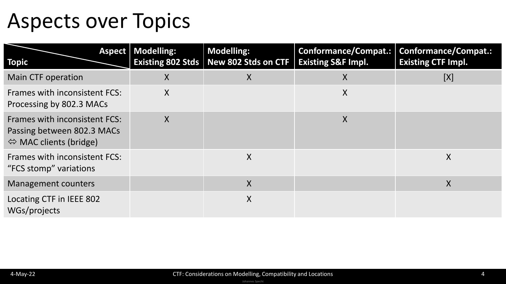#### Aspects over Topics

| <b>Topic</b>                                                                                                 | <b>Aspect Modelling:</b> | <b>Modelling:</b><br>Existing 802 Stds   New 802 Stds on CTF   Existing S&F Impl. | Conformance/Compat.: | <b>Conformance/Compat.:</b><br><b>Existing CTF Impl.</b> |
|--------------------------------------------------------------------------------------------------------------|--------------------------|-----------------------------------------------------------------------------------|----------------------|----------------------------------------------------------|
| Main CTF operation                                                                                           | X                        | X                                                                                 | $\sf X$              | [X]                                                      |
| <b>Frames with inconsistent FCS:</b><br>Processing by 802.3 MACs                                             | X                        |                                                                                   | $\sf X$              |                                                          |
| <b>Frames with inconsistent FCS:</b><br>Passing between 802.3 MACs<br>$\Leftrightarrow$ MAC clients (bridge) | X                        |                                                                                   | $\sf X$              |                                                          |
| <b>Frames with inconsistent FCS:</b><br>"FCS stomp" variations                                               |                          | X                                                                                 |                      | X                                                        |
| <b>Management counters</b>                                                                                   |                          | X                                                                                 |                      | X                                                        |
| Locating CTF in IEEE 802<br>WGs/projects                                                                     |                          | X                                                                                 |                      |                                                          |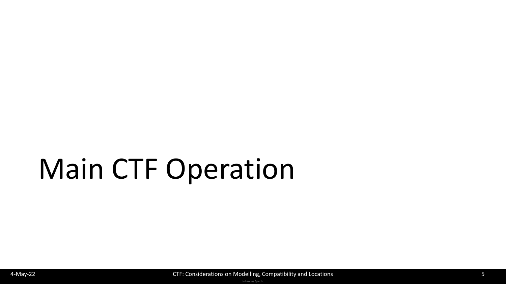# Main CTF Operation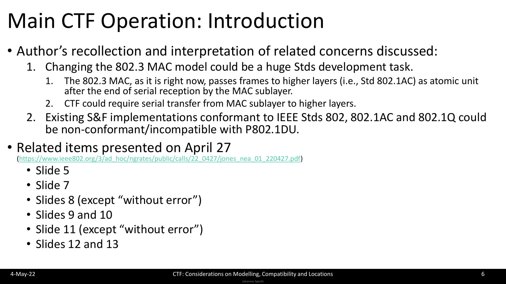### Main CTF Operation: Introduction

- Author's recollection and interpretation of related concerns discussed:
	- 1. Changing the 802.3 MAC model could be a huge Stds development task.
		- 1. The 802.3 MAC, as it is right now, passes frames to higher layers (i.e., Std 802.1AC) as atomic unit after the end of serial reception by the MAC sublayer.
		- 2. CTF could require serial transfer from MAC sublayer to higher layers.
	- 2. Existing S&F implementations conformant to IEEE Stds 802, 802.1AC and 802.1Q could be non-conformant/incompatible with P802.1DU.

#### • Related items presented on April 27

(https://www.ieee802.org/3/ad hoc/ngrates/public/calls/22\_0427/jones\_nea\_01\_220427.pdf)

- Slide 5
- Slide 7
- Slides 8 (except "without error")
- Slides 9 and 10
- Slide 11 (except "without error")
- Slides 12 and 13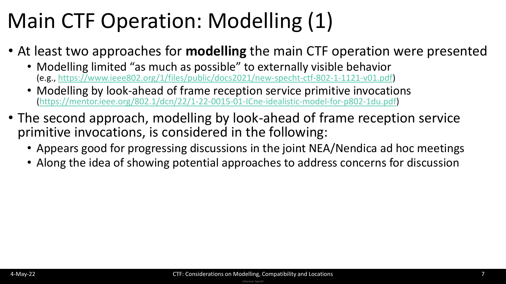### Main CTF Operation: Modelling (1)

- At least two approaches for **modelling** the main CTF operation were presented
	- Modelling limited "as much as possible" to externally visible behavior (e.g., [https://www.ieee802.org/1/files/public/docs2021/new-specht-ctf-802-1-1121-v01.pdf\)](https://www.ieee802.org/1/files/public/docs2021/new-specht-ctf-802-1-1121-v01.pdf)
	- Modelling by look-ahead of frame reception service primitive invocations ([https://mentor.ieee.org/802.1/dcn/22/1-22-0015-01-ICne-idealistic-model-for-p802-1du.pdf\)](https://mentor.ieee.org/802.1/dcn/22/1-22-0015-01-ICne-idealistic-model-for-p802-1du.pdf)
- The second approach, modelling by look-ahead of frame reception service primitive invocations, is considered in the following:
	- Appears good for progressing discussions in the joint NEA/Nendica ad hoc meetings
	- Along the idea of showing potential approaches to address concerns for discussion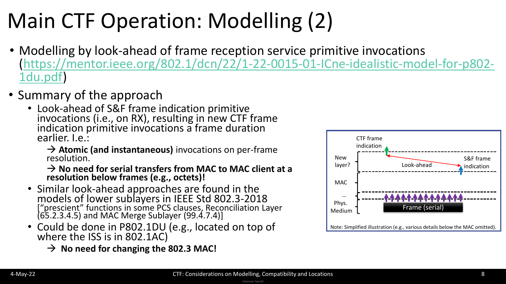## Main CTF Operation: Modelling (2)

- Modelling by look-ahead of frame reception service primitive invocations [\(https://mentor.ieee.org/802.1/dcn/22/1-22-0015-01-ICne-idealistic-model-for-p802-](https://mentor.ieee.org/802.1/dcn/22/1-22-0015-01-ICne-idealistic-model-for-p802-1du.pdf) 1du.pdf)
- Summary of the approach
	- Look-ahead of S&F frame indication primitive invocations (i.e., on RX), resulting in new CTF frame indication primitive invocations a frame duration earlier. I.e.:
		- → **Atomic (and instantaneous)** invocations on per-frame resolution.

→ **No need for serial transfers from MAC to MAC client at a resolution below frames (e.g., octets)!**

- Similar look-ahead approaches are found in the models of lower sublayers in IEEE Std 802.3-2018 ["prescient" functions in some PCS clauses, Reconciliation Layer (65.2.3.4.5) and MAC Merge Sublayer (99.4.7.4)]
- Could be done in P802.1DU (e.g., located on top of where the ISS is in 802.1AC)
	- → **No need for changing the 802.3 MAC!**

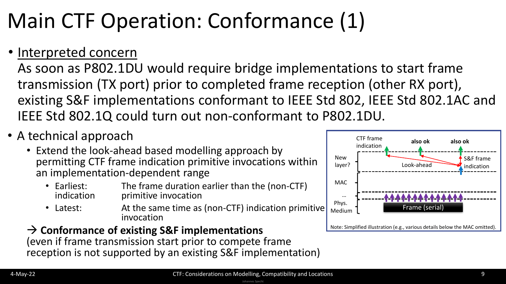## Main CTF Operation: Conformance (1)

#### • Interpreted concern

As soon as P802.1DU would require bridge implementations to start frame transmission (TX port) prior to completed frame reception (other RX port), existing S&F implementations conformant to IEEE Std 802, IEEE Std 802.1AC and IEEE Std 802.1Q could turn out non-conformant to P802.1DU.

- A technical approach
	- Extend the look-ahead based modelling approach by permitting CTF frame indication primitive invocations within an implementation-dependent range
		- Earliest: The frame duration earlier than the (non-CTF)<br>indication brimitive invocation primitive invocation
		- Latest: At the same time as (non-CTF) indication primitive invocation

#### → **Conformance of existing S&F implementations**

(even if frame transmission start prior to compete frame reception is not supported by an existing S&F implementation)

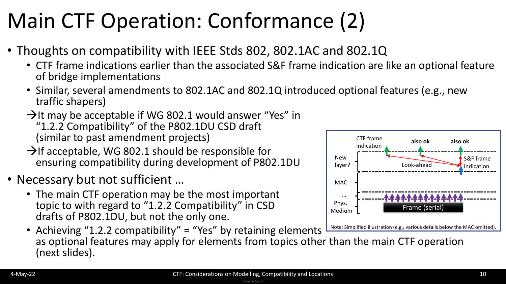## Main CTF Operation: Conformance (2)

- Thoughts on compatibility with IEEE Stds 802, 802.1AC and 802.1Q
	- CTF frame indications earlier than the associated S&F frame indication are like an optional feature of bridge implementations
	- Similar, several amendments to 802.1AC and 802.1Q introduced optional features (e.g., new traffic shapers)
	- $\rightarrow$ It may be acceptable if WG 802.1 would answer "Yes" in "1.2.2 Compatibility" of the P802.1DU CSD draft (similar to past amendment projects)
	- $\rightarrow$ If acceptable, WG 802.1 should be responsible for ensuring compatibility during development of P802.1DU
- Necessary but not sufficient …
	- The main CTF operation may be the most important topic to with regard to "1.2.2 Compatibility" in CSD drafts of P802.1DU, but not the only one.



• Achieving "1.2.2 compatibility" = "Yes" by retaining elements as optional features may apply for elements from topics other than the main CTF operation (next slides).